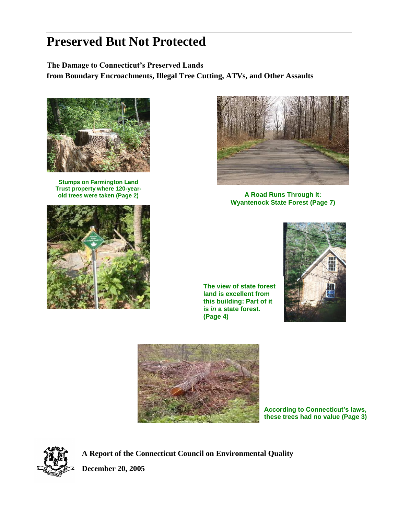# **Preserved But Not Protected**

# **The Damage to Connecticut's Preserved Lands from Boundary Encroachments, Illegal Tree Cutting, ATVs, and Other Assaults**



**Stumps on Farmington Land Trust property where 120-year-**





**old trees were taken (Page 2) A Road Runs Through It: Wyantenock State Forest (Page 7)**

**The view of state forest land is excellent from this building: Part of it is** *in* **a state forest. (Page 4)**





**According to Connecticut's laws, these trees had no value (Page 3)**



**A Report of the Connecticut Council on Environmental Quality** **December 20, 2005**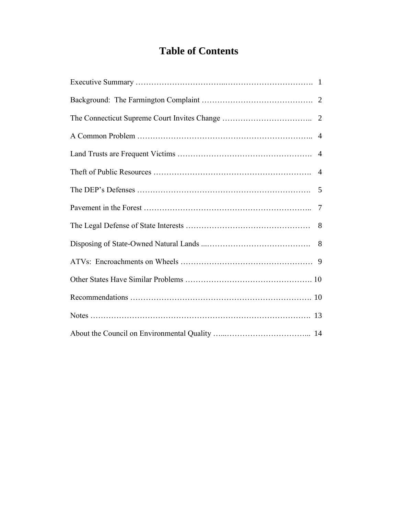# **Table of Contents**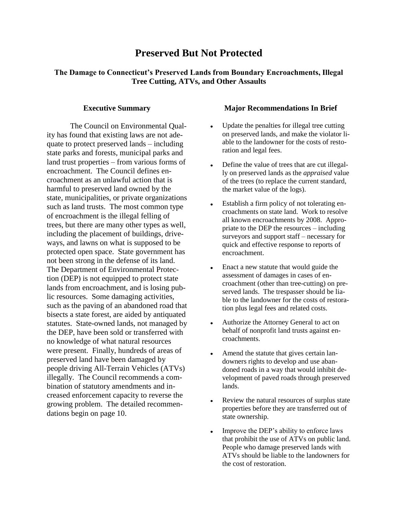# **Preserved But Not Protected**

# **The Damage to Connecticut's Preserved Lands from Boundary Encroachments, Illegal Tree Cutting, ATVs, and Other Assaults**

#### **Executive Summary**

The Council on Environmental Quality has found that existing laws are not adequate to protect preserved lands – including state parks and forests, municipal parks and land trust properties – from various forms of encroachment. The Council defines encroachment as an unlawful action that is harmful to preserved land owned by the state, municipalities, or private organizations such as land trusts. The most common type of encroachment is the illegal felling of trees, but there are many other types as well, including the placement of buildings, driveways, and lawns on what is supposed to be protected open space. State government has not been strong in the defense of its land. The Department of Environmental Protection (DEP) is not equipped to protect state lands from encroachment, and is losing public resources. Some damaging activities, such as the paving of an abandoned road that bisects a state forest, are aided by antiquated statutes. State-owned lands, not managed by the DEP, have been sold or transferred with no knowledge of what natural resources were present. Finally, hundreds of areas of preserved land have been damaged by people driving All-Terrain Vehicles (ATVs) illegally. The Council recommends a combination of statutory amendments and increased enforcement capacity to reverse the growing problem. The detailed recommendations begin on page 10.

#### **Major Recommendations In Brief**

- Update the penalties for illegal tree cutting on preserved lands, and make the violator liable to the landowner for the costs of restoration and legal fees.
- Define the value of trees that are cut illegal- $\bullet$ ly on preserved lands as the *appraised* value of the trees (to replace the current standard, the market value of the logs).
- Establish a firm policy of not tolerating en- $\bullet$ croachments on state land. Work to resolve all known encroachments by 2008. Appropriate to the DEP the resources – including surveyors and support staff – necessary for quick and effective response to reports of encroachment.
- Enact a new statute that would guide the  $\blacksquare$ assessment of damages in cases of encroachment (other than tree-cutting) on preserved lands. The trespasser should be liable to the landowner for the costs of restoration plus legal fees and related costs.
- Authorize the Attorney General to act on behalf of nonprofit land trusts against encroachments.
- $\bullet$ Amend the statute that gives certain landowners rights to develop and use abandoned roads in a way that would inhibit development of paved roads through preserved lands.
- Review the natural resources of surplus state properties before they are transferred out of state ownership.
- Improve the DEP's ability to enforce laws  $\bullet$ that prohibit the use of ATVs on public land. People who damage preserved lands with ATVs should be liable to the landowners for the cost of restoration.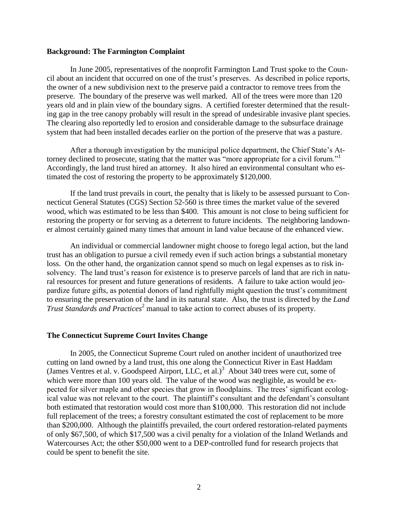#### **Background: The Farmington Complaint**

In June 2005, representatives of the nonprofit Farmington Land Trust spoke to the Council about an incident that occurred on one of the trust's preserves. As described in police reports, the owner of a new subdivision next to the preserve paid a contractor to remove trees from the preserve. The boundary of the preserve was well marked. All of the trees were more than 120 years old and in plain view of the boundary signs. A certified forester determined that the resulting gap in the tree canopy probably will result in the spread of undesirable invasive plant species. The clearing also reportedly led to erosion and considerable damage to the subsurface drainage system that had been installed decades earlier on the portion of the preserve that was a pasture.

After a thorough investigation by the municipal police department, the Chief State's Attorney declined to prosecute, stating that the matter was "more appropriate for a civil forum."<sup>1</sup> Accordingly, the land trust hired an attorney. It also hired an environmental consultant who estimated the cost of restoring the property to be approximately \$120,000.

If the land trust prevails in court, the penalty that is likely to be assessed pursuant to Connecticut General Statutes (CGS) Section 52-560 is three times the market value of the severed wood, which was estimated to be less than \$400. This amount is not close to being sufficient for restoring the property or for serving as a deterrent to future incidents. The neighboring landowner almost certainly gained many times that amount in land value because of the enhanced view.

An individual or commercial landowner might choose to forego legal action, but the land trust has an obligation to pursue a civil remedy even if such action brings a substantial monetary loss. On the other hand, the organization cannot spend so much on legal expenses as to risk insolvency. The land trust's reason for existence is to preserve parcels of land that are rich in natural resources for present and future generations of residents. A failure to take action would jeopardize future gifts, as potential donors of land rightfully might question the trust's commitment to ensuring the preservation of the land in its natural state. Also, the trust is directed by the *Land Trust Standards and Practices*<sup>2</sup> manual to take action to correct abuses of its property.

#### **The Connecticut Supreme Court Invites Change**

In 2005, the Connecticut Supreme Court ruled on another incident of unauthorized tree cutting on land owned by a land trust, this one along the Connecticut River in East Haddam (James Ventres et al. v. Goodspeed Airport, LLC, et al.)<sup>3</sup> About 340 trees were cut, some of which were more than 100 years old. The value of the wood was negligible, as would be expected for silver maple and other species that grow in floodplains. The trees' significant ecological value was not relevant to the court. The plaintiff's consultant and the defendant's consultant both estimated that restoration would cost more than \$100,000. This restoration did not include full replacement of the trees; a forestry consultant estimated the cost of replacement to be more than \$200,000. Although the plaintiffs prevailed, the court ordered restoration-related payments of only \$67,500, of which \$17,500 was a civil penalty for a violation of the Inland Wetlands and Watercourses Act; the other \$50,000 went to a DEP-controlled fund for research projects that could be spent to benefit the site.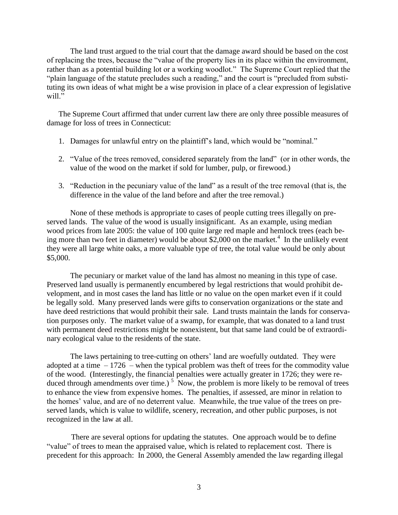The land trust argued to the trial court that the damage award should be based on the cost of replacing the trees, because the "value of the property lies in its place within the environment, rather than as a potential building lot or a working woodlot." The Supreme Court replied that the "plain language of the statute precludes such a reading," and the court is "precluded from substituting its own ideas of what might be a wise provision in place of a clear expression of legislative will."

The Supreme Court affirmed that under current law there are only three possible measures of damage for loss of trees in Connecticut:

- 1. Damages for unlawful entry on the plaintiff's land, which would be "nominal."
- 2. "Value of the trees removed, considered separately from the land" (or in other words, the value of the wood on the market if sold for lumber, pulp, or firewood.)
- 3. "Reduction in the pecuniary value of the land" as a result of the tree removal (that is, the difference in the value of the land before and after the tree removal.)

None of these methods is appropriate to cases of people cutting trees illegally on preserved lands. The value of the wood is usually insignificant. As an example, using median wood prices from late 2005: the value of 100 quite large red maple and hemlock trees (each being more than two feet in diameter) would be about \$2,000 on the market.<sup>4</sup> In the unlikely event they were all large white oaks, a more valuable type of tree, the total value would be only about \$5,000.

The pecuniary or market value of the land has almost no meaning in this type of case. Preserved land usually is permanently encumbered by legal restrictions that would prohibit development, and in most cases the land has little or no value on the open market even if it could be legally sold. Many preserved lands were gifts to conservation organizations or the state and have deed restrictions that would prohibit their sale. Land trusts maintain the lands for conservation purposes only. The market value of a swamp, for example, that was donated to a land trust with permanent deed restrictions might be nonexistent, but that same land could be of extraordinary ecological value to the residents of the state.

The laws pertaining to tree-cutting on others' land are woefully outdated. They were adopted at a time  $-1726$  – when the typical problem was theft of trees for the commodity value of the wood. (Interestingly, the financial penalties were actually greater in 1726; they were reduced through amendments over time.)<sup>5</sup> Now, the problem is more likely to be removal of trees to enhance the view from expensive homes. The penalties, if assessed, are minor in relation to the homes' value, and are of no deterrent value. Meanwhile, the true value of the trees on preserved lands, which is value to wildlife, scenery, recreation, and other public purposes, is not recognized in the law at all.

There are several options for updating the statutes. One approach would be to define "value" of trees to mean the appraised value, which is related to replacement cost. There is precedent for this approach: In 2000, the General Assembly amended the law regarding illegal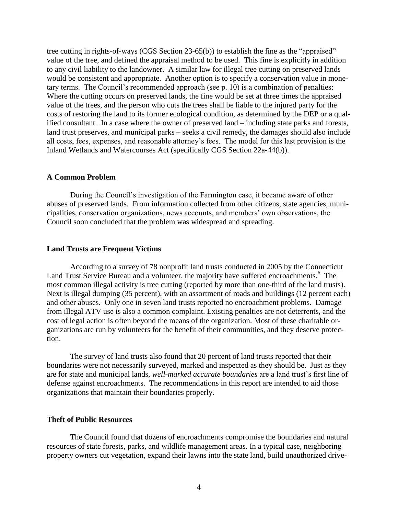tree cutting in rights-of-ways (CGS Section 23-65(b)) to establish the fine as the "appraised" value of the tree, and defined the appraisal method to be used. This fine is explicitly in addition to any civil liability to the landowner. A similar law for illegal tree cutting on preserved lands would be consistent and appropriate. Another option is to specify a conservation value in monetary terms. The Council's recommended approach (see p. 10) is a combination of penalties: Where the cutting occurs on preserved lands, the fine would be set at three times the appraised value of the trees, and the person who cuts the trees shall be liable to the injured party for the costs of restoring the land to its former ecological condition, as determined by the DEP or a qualified consultant. In a case where the owner of preserved land – including state parks and forests, land trust preserves, and municipal parks – seeks a civil remedy, the damages should also include all costs, fees, expenses, and reasonable attorney's fees. The model for this last provision is the Inland Wetlands and Watercourses Act (specifically CGS Section 22a-44(b)).

#### **A Common Problem**

During the Council's investigation of the Farmington case, it became aware of other abuses of preserved lands. From information collected from other citizens, state agencies, municipalities, conservation organizations, news accounts, and members' own observations, the Council soon concluded that the problem was widespread and spreading.

#### **Land Trusts are Frequent Victims**

According to a survey of 78 nonprofit land trusts conducted in 2005 by the Connecticut Land Trust Service Bureau and a volunteer, the majority have suffered encroachments.<sup>6</sup> The most common illegal activity is tree cutting (reported by more than one-third of the land trusts). Next is illegal dumping (35 percent), with an assortment of roads and buildings (12 percent each) and other abuses. Only one in seven land trusts reported no encroachment problems. Damage from illegal ATV use is also a common complaint. Existing penalties are not deterrents, and the cost of legal action is often beyond the means of the organization. Most of these charitable organizations are run by volunteers for the benefit of their communities, and they deserve protection.

The survey of land trusts also found that 20 percent of land trusts reported that their boundaries were not necessarily surveyed, marked and inspected as they should be. Just as they are for state and municipal lands, *well-marked accurate boundaries* are a land trust's first line of defense against encroachments. The recommendations in this report are intended to aid those organizations that maintain their boundaries properly.

#### **Theft of Public Resources**

The Council found that dozens of encroachments compromise the boundaries and natural resources of state forests, parks, and wildlife management areas. In a typical case, neighboring property owners cut vegetation, expand their lawns into the state land, build unauthorized drive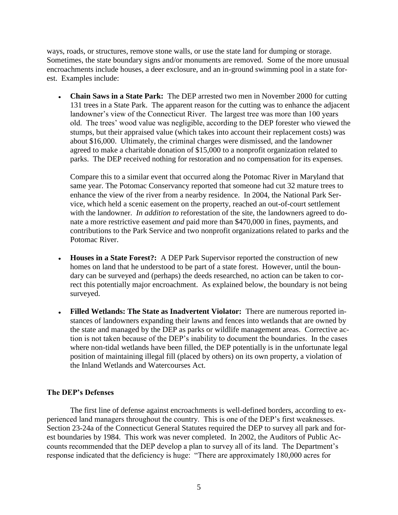ways, roads, or structures, remove stone walls, or use the state land for dumping or storage. Sometimes, the state boundary signs and/or monuments are removed. Some of the more unusual encroachments include houses, a deer exclosure, and an in-ground swimming pool in a state forest. Examples include:

**Chain Saws in a State Park:** The DEP arrested two men in November 2000 for cutting  $\bullet$ 131 trees in a State Park. The apparent reason for the cutting was to enhance the adjacent landowner's view of the Connecticut River. The largest tree was more than 100 years old. The trees' wood value was negligible, according to the DEP forester who viewed the stumps, but their appraised value (which takes into account their replacement costs) was about \$16,000. Ultimately, the criminal charges were dismissed, and the landowner agreed to make a charitable donation of \$15,000 to a nonprofit organization related to parks. The DEP received nothing for restoration and no compensation for its expenses.

Compare this to a similar event that occurred along the Potomac River in Maryland that same year. The Potomac Conservancy reported that someone had cut 32 mature trees to enhance the view of the river from a nearby residence. In 2004, the National Park Service, which held a scenic easement on the property, reached an out-of-court settlement with the landowner. *In addition to* reforestation of the site, the landowners agreed to donate a more restrictive easement *and* paid more than \$470,000 in fines, payments, and contributions to the Park Service and two nonprofit organizations related to parks and the Potomac River.

- **Houses in a State Forest?:** A DEP Park Supervisor reported the construction of new homes on land that he understood to be part of a state forest. However, until the boundary can be surveyed and (perhaps) the deeds researched, no action can be taken to correct this potentially major encroachment. As explained below, the boundary is not being surveyed.
- **Filled Wetlands: The State as Inadvertent Violator:** There are numerous reported instances of landowners expanding their lawns and fences into wetlands that are owned by the state and managed by the DEP as parks or wildlife management areas. Corrective action is not taken because of the DEP's inability to document the boundaries. In the cases where non-tidal wetlands have been filled, the DEP potentially is in the unfortunate legal position of maintaining illegal fill (placed by others) on its own property, a violation of the Inland Wetlands and Watercourses Act.

# **The DEP's Defenses**

The first line of defense against encroachments is well-defined borders, according to experienced land managers throughout the country. This is one of the DEP's first weaknesses. Section 23-24a of the Connecticut General Statutes required the DEP to survey all park and forest boundaries by 1984. This work was never completed. In 2002, the Auditors of Public Accounts recommended that the DEP develop a plan to survey all of its land. The Department's response indicated that the deficiency is huge: "There are approximately 180,000 acres for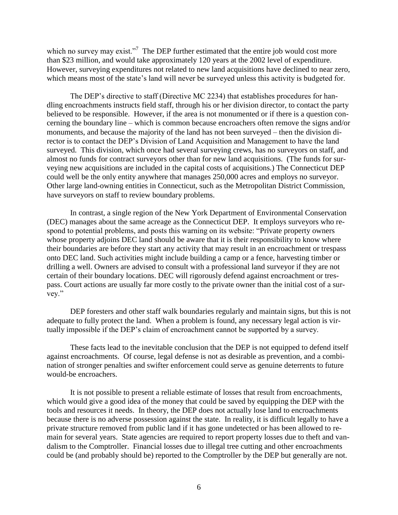which no survey may exist."<sup>7</sup> The DEP further estimated that the entire job would cost more than \$23 million, and would take approximately 120 years at the 2002 level of expenditure. However, surveying expenditures not related to new land acquisitions have declined to near zero, which means most of the state's land will never be surveyed unless this activity is budgeted for.

The DEP's directive to staff (Directive MC 2234) that establishes procedures for handling encroachments instructs field staff, through his or her division director, to contact the party believed to be responsible. However, if the area is not monumented or if there is a question concerning the boundary line – which is common because encroachers often remove the signs and/or monuments, and because the majority of the land has not been surveyed – then the division director is to contact the DEP's Division of Land Acquisition and Management to have the land surveyed. This division, which once had several surveying crews, has no surveyors on staff, and almost no funds for contract surveyors other than for new land acquisitions. (The funds for surveying new acquisitions are included in the capital costs of acquisitions.) The Connecticut DEP could well be the only entity anywhere that manages 250,000 acres and employs no surveyor. Other large land-owning entities in Connecticut, such as the Metropolitan District Commission, have surveyors on staff to review boundary problems.

In contrast, a single region of the New York Department of Environmental Conservation (DEC) manages about the same acreage as the Connecticut DEP. It employs surveyors who respond to potential problems, and posts this warning on its website: "Private property owners whose property adjoins DEC land should be aware that it is their responsibility to know where their boundaries are before they start any activity that may result in an encroachment or trespass onto DEC land. Such activities might include building a camp or a fence, harvesting timber or drilling a well. Owners are advised to consult with a professional land surveyor if they are not certain of their boundary locations. DEC will rigorously defend against encroachment or trespass. Court actions are usually far more costly to the private owner than the initial cost of a survey."

DEP foresters and other staff walk boundaries regularly and maintain signs, but this is not adequate to fully protect the land. When a problem is found, any necessary legal action is virtually impossible if the DEP's claim of encroachment cannot be supported by a survey.

These facts lead to the inevitable conclusion that the DEP is not equipped to defend itself against encroachments. Of course, legal defense is not as desirable as prevention, and a combination of stronger penalties and swifter enforcement could serve as genuine deterrents to future would-be encroachers.

It is not possible to present a reliable estimate of losses that result from encroachments, which would give a good idea of the money that could be saved by equipping the DEP with the tools and resources it needs. In theory, the DEP does not actually lose land to encroachments because there is no adverse possession against the state. In reality, it is difficult legally to have a private structure removed from public land if it has gone undetected or has been allowed to remain for several years. State agencies are required to report property losses due to theft and vandalism to the Comptroller. Financial losses due to illegal tree cutting and other encroachments could be (and probably should be) reported to the Comptroller by the DEP but generally are not.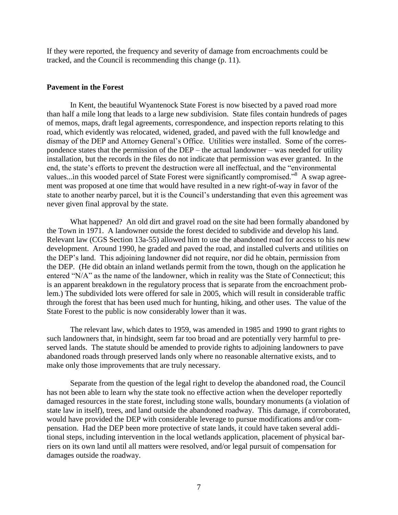If they were reported, the frequency and severity of damage from encroachments could be tracked, and the Council is recommending this change (p. 11).

#### **Pavement in the Forest**

In Kent, the beautiful Wyantenock State Forest is now bisected by a paved road more than half a mile long that leads to a large new subdivision. State files contain hundreds of pages of memos, maps, draft legal agreements, correspondence, and inspection reports relating to this road, which evidently was relocated, widened, graded, and paved with the full knowledge and dismay of the DEP and Attorney General's Office. Utilities were installed. Some of the correspondence states that the permission of the DEP – the actual landowner – was needed for utility installation, but the records in the files do not indicate that permission was ever granted. In the end, the state's efforts to prevent the destruction were all ineffectual, and the "environmental values...in this wooded parcel of State Forest were significantly compromised."<sup>8</sup> A swap agreement was proposed at one time that would have resulted in a new right-of-way in favor of the state to another nearby parcel, but it is the Council's understanding that even this agreement was never given final approval by the state.

What happened? An old dirt and gravel road on the site had been formally abandoned by the Town in 1971. A landowner outside the forest decided to subdivide and develop his land. Relevant law (CGS Section 13a-55) allowed him to use the abandoned road for access to his new development. Around 1990, he graded and paved the road, and installed culverts and utilities on the DEP's land. This adjoining landowner did not require, nor did he obtain, permission from the DEP. (He did obtain an inland wetlands permit from the town, though on the application he entered "N/A" as the name of the landowner, which in reality was the State of Connecticut; this is an apparent breakdown in the regulatory process that is separate from the encroachment problem.) The subdivided lots were offered for sale in 2005, which will result in considerable traffic through the forest that has been used much for hunting, hiking, and other uses. The value of the State Forest to the public is now considerably lower than it was.

The relevant law, which dates to 1959, was amended in 1985 and 1990 to grant rights to such landowners that, in hindsight, seem far too broad and are potentially very harmful to preserved lands. The statute should be amended to provide rights to adjoining landowners to pave abandoned roads through preserved lands only where no reasonable alternative exists, and to make only those improvements that are truly necessary.

Separate from the question of the legal right to develop the abandoned road, the Council has not been able to learn why the state took no effective action when the developer reportedly damaged resources in the state forest, including stone walls, boundary monuments (a violation of state law in itself), trees, and land outside the abandoned roadway. This damage, if corroborated, would have provided the DEP with considerable leverage to pursue modifications and/or compensation. Had the DEP been more protective of state lands, it could have taken several additional steps, including intervention in the local wetlands application, placement of physical barriers on its own land until all matters were resolved, and/or legal pursuit of compensation for damages outside the roadway.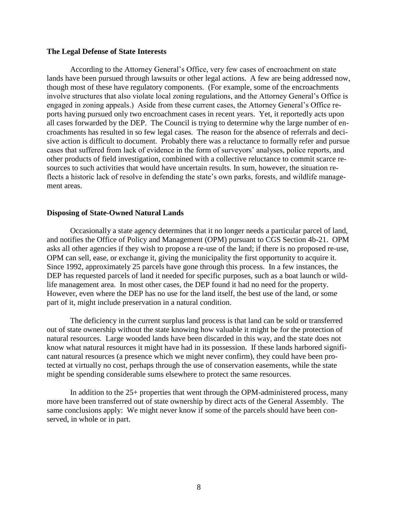#### **The Legal Defense of State Interests**

According to the Attorney General's Office, very few cases of encroachment on state lands have been pursued through lawsuits or other legal actions. A few are being addressed now, though most of these have regulatory components. (For example, some of the encroachments involve structures that also violate local zoning regulations, and the Attorney General's Office is engaged in zoning appeals.) Aside from these current cases, the Attorney General's Office reports having pursued only two encroachment cases in recent years. Yet, it reportedly acts upon all cases forwarded by the DEP. The Council is trying to determine why the large number of encroachments has resulted in so few legal cases. The reason for the absence of referrals and decisive action is difficult to document. Probably there was a reluctance to formally refer and pursue cases that suffered from lack of evidence in the form of surveyors' analyses, police reports, and other products of field investigation, combined with a collective reluctance to commit scarce resources to such activities that would have uncertain results. In sum, however, the situation reflects a historic lack of resolve in defending the state's own parks, forests, and wildlife management areas.

#### **Disposing of State-Owned Natural Lands**

Occasionally a state agency determines that it no longer needs a particular parcel of land, and notifies the Office of Policy and Management (OPM) pursuant to CGS Section 4b-21. OPM asks all other agencies if they wish to propose a re-use of the land; if there is no proposed re-use, OPM can sell, ease, or exchange it, giving the municipality the first opportunity to acquire it. Since 1992, approximately 25 parcels have gone through this process. In a few instances, the DEP has requested parcels of land it needed for specific purposes, such as a boat launch or wildlife management area. In most other cases, the DEP found it had no need for the property. However, even where the DEP has no use for the land itself, the best use of the land, or some part of it, might include preservation in a natural condition.

The deficiency in the current surplus land process is that land can be sold or transferred out of state ownership without the state knowing how valuable it might be for the protection of natural resources. Large wooded lands have been discarded in this way, and the state does not know what natural resources it might have had in its possession. If these lands harbored significant natural resources (a presence which we might never confirm), they could have been protected at virtually no cost, perhaps through the use of conservation easements, while the state might be spending considerable sums elsewhere to protect the same resources.

In addition to the 25+ properties that went through the OPM-administered process, many more have been transferred out of state ownership by direct acts of the General Assembly. The same conclusions apply: We might never know if some of the parcels should have been conserved, in whole or in part.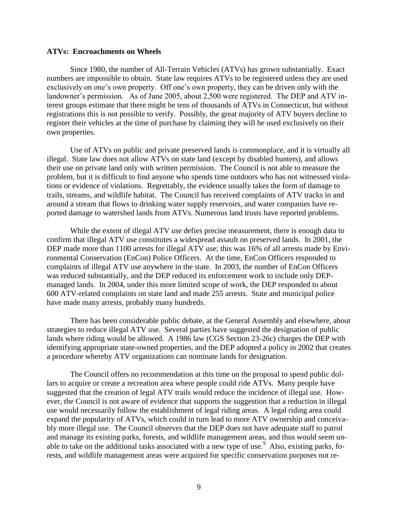#### **ATVs: Encroachments on Wheels**

Since 1980, the number of All-Terrain Vehicles (ATVs) has grown substantially. Exact numbers are impossible to obtain. State law requires ATVs to be registered unless they are used exclusively on one's own property. Off one's own property, they can be driven only with the landowner's permission. As of June 2005, about 2,500 were registered. The DEP and ATV interest groups estimate that there might be tens of thousands of ATVs in Connecticut, but without registrations this is not possible to verify. Possibly, the great majority of ATV buyers decline to register their vehicles at the time of purchase by claiming they will be used exclusively on their own properties.

Use of ATVs on public and private preserved lands is commonplace, and it is virtually all illegal. State law does not allow ATVs on state land (except by disabled hunters), and allows their use on private land only with written permission. The Council is not able to measure the problem, but it is difficult to find anyone who spends time outdoors who has not witnessed violations or evidence of violations. Regrettably, the evidence usually takes the form of damage to trails, streams, and wildlife habitat. The Council has received complaints of ATV tracks in and around a stream that flows to drinking water supply reservoirs, and water companies have reported damage to watershed lands from ATVs. Numerous land trusts have reported problems.

While the extent of illegal ATV use defies precise measurement, there is enough data to confirm that illegal ATV use constitutes a widespread assault on preserved lands. In 2001, the DEP made more than 1100 arrests for illegal ATV use; this was 16% of all arrests made by Environmental Conservation (EnCon) Police Officers. At the time, EnCon Officers responded to complaints of illegal ATV use anywhere in the state. In 2003, the number of EnCon Officers was reduced substantially, and the DEP reduced its enforcement work to include only DEPmanaged lands. In 2004, under this more limited scope of work, the DEP responded to about 600 ATV-related complaints on state land and made 255 arrests. State and municipal police have made many arrests, probably many hundreds.

There has been considerable public debate, at the General Assembly and elsewhere, about strategies to reduce illegal ATV use. Several parties have suggested the designation of public lands where riding would be allowed. A 1986 law (CGS Section 23-26c) charges the DEP with identifying appropriate state-owned properties, and the DEP adopted a policy in 2002 that creates a procedure whereby ATV organizations can nominate lands for designation.

The Council offers no recommendation at this time on the proposal to spend public dollars to acquire or create a recreation area where people could ride ATVs. Many people have suggested that the creation of legal ATV trails would reduce the incidence of illegal use. However, the Council is not aware of evidence that supports the suggestion that a reduction in illegal use would necessarily follow the establishment of legal riding areas. A legal riding area could expand the popularity of ATVs, which could in turn lead to more ATV ownership and conceivably more illegal use. The Council observes that the DEP does not have adequate staff to patrol and manage its existing parks, forests, and wildlife management areas, and thus would seem unable to take on the additional tasks associated with a new type of use.<sup>9</sup> Also, existing parks, forests, and wildlife management areas were acquired for specific conservation purposes not re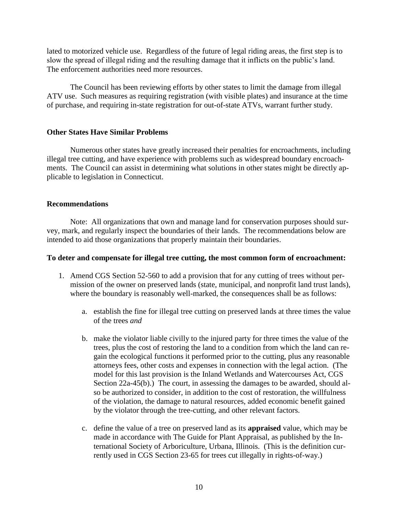lated to motorized vehicle use. Regardless of the future of legal riding areas, the first step is to slow the spread of illegal riding and the resulting damage that it inflicts on the public's land. The enforcement authorities need more resources.

The Council has been reviewing efforts by other states to limit the damage from illegal ATV use. Such measures as requiring registration (with visible plates) and insurance at the time of purchase, and requiring in-state registration for out-of-state ATVs, warrant further study.

# **Other States Have Similar Problems**

Numerous other states have greatly increased their penalties for encroachments, including illegal tree cutting, and have experience with problems such as widespread boundary encroachments. The Council can assist in determining what solutions in other states might be directly applicable to legislation in Connecticut.

# **Recommendations**

Note: All organizations that own and manage land for conservation purposes should survey, mark, and regularly inspect the boundaries of their lands. The recommendations below are intended to aid those organizations that properly maintain their boundaries.

### **To deter and compensate for illegal tree cutting, the most common form of encroachment:**

- 1. Amend CGS Section 52-560 to add a provision that for any cutting of trees without permission of the owner on preserved lands (state, municipal, and nonprofit land trust lands), where the boundary is reasonably well-marked, the consequences shall be as follows:
	- a. establish the fine for illegal tree cutting on preserved lands at three times the value of the trees *and*
	- b. make the violator liable civilly to the injured party for three times the value of the trees, plus the cost of restoring the land to a condition from which the land can regain the ecological functions it performed prior to the cutting, plus any reasonable attorneys fees, other costs and expenses in connection with the legal action. (The model for this last provision is the Inland Wetlands and Watercourses Act, CGS Section 22a-45(b).) The court, in assessing the damages to be awarded, should also be authorized to consider, in addition to the cost of restoration, the willfulness of the violation, the damage to natural resources, added economic benefit gained by the violator through the tree-cutting, and other relevant factors.
	- c. define the value of a tree on preserved land as its **appraised** value, which may be made in accordance with The Guide for Plant Appraisal, as published by the International Society of Arboriculture, Urbana, Illinois. (This is the definition currently used in CGS Section 23-65 for trees cut illegally in rights-of-way.)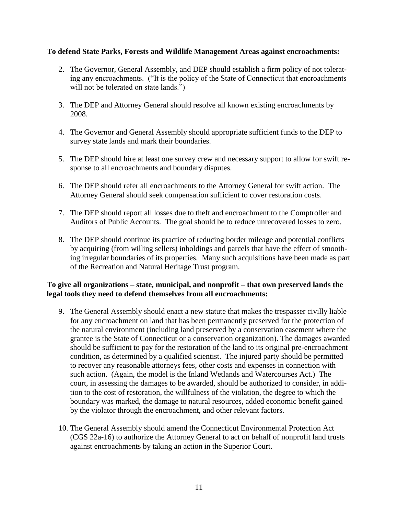# **To defend State Parks, Forests and Wildlife Management Areas against encroachments:**

- 2. The Governor, General Assembly, and DEP should establish a firm policy of not tolerating any encroachments. ("It is the policy of the State of Connecticut that encroachments will not be tolerated on state lands.")
- 3. The DEP and Attorney General should resolve all known existing encroachments by 2008.
- 4. The Governor and General Assembly should appropriate sufficient funds to the DEP to survey state lands and mark their boundaries.
- 5. The DEP should hire at least one survey crew and necessary support to allow for swift response to all encroachments and boundary disputes.
- 6. The DEP should refer all encroachments to the Attorney General for swift action. The Attorney General should seek compensation sufficient to cover restoration costs.
- 7. The DEP should report all losses due to theft and encroachment to the Comptroller and Auditors of Public Accounts. The goal should be to reduce unrecovered losses to zero.
- 8. The DEP should continue its practice of reducing border mileage and potential conflicts by acquiring (from willing sellers) inholdings and parcels that have the effect of smoothing irregular boundaries of its properties. Many such acquisitions have been made as part of the Recreation and Natural Heritage Trust program.

# **To give all organizations – state, municipal, and nonprofit – that own preserved lands the legal tools they need to defend themselves from all encroachments:**

- 9. The General Assembly should enact a new statute that makes the trespasser civilly liable for any encroachment on land that has been permanently preserved for the protection of the natural environment (including land preserved by a conservation easement where the grantee is the State of Connecticut or a conservation organization). The damages awarded should be sufficient to pay for the restoration of the land to its original pre-encroachment condition, as determined by a qualified scientist. The injured party should be permitted to recover any reasonable attorneys fees, other costs and expenses in connection with such action. (Again, the model is the Inland Wetlands and Watercourses Act.) The court, in assessing the damages to be awarded, should be authorized to consider, in addition to the cost of restoration, the willfulness of the violation, the degree to which the boundary was marked, the damage to natural resources, added economic benefit gained by the violator through the encroachment, and other relevant factors.
- 10. The General Assembly should amend the Connecticut Environmental Protection Act (CGS 22a-16) to authorize the Attorney General to act on behalf of nonprofit land trusts against encroachments by taking an action in the Superior Court.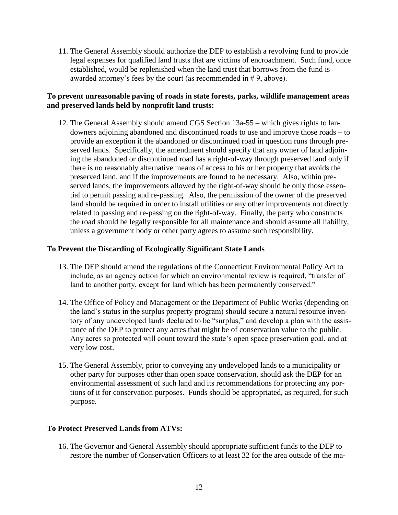11. The General Assembly should authorize the DEP to establish a revolving fund to provide legal expenses for qualified land trusts that are victims of encroachment. Such fund, once established, would be replenished when the land trust that borrows from the fund is awarded attorney's fees by the court (as recommended in # 9, above).

# **To prevent unreasonable paving of roads in state forests, parks, wildlife management areas and preserved lands held by nonprofit land trusts:**

12. The General Assembly should amend CGS Section 13a-55 – which gives rights to landowners adjoining abandoned and discontinued roads to use and improve those roads – to provide an exception if the abandoned or discontinued road in question runs through preserved lands. Specifically, the amendment should specify that any owner of land adjoining the abandoned or discontinued road has a right-of-way through preserved land only if there is no reasonably alternative means of access to his or her property that avoids the preserved land, and if the improvements are found to be necessary. Also, within preserved lands, the improvements allowed by the right-of-way should be only those essential to permit passing and re-passing. Also, the permission of the owner of the preserved land should be required in order to install utilities or any other improvements not directly related to passing and re-passing on the right-of-way. Finally, the party who constructs the road should be legally responsible for all maintenance and should assume all liability, unless a government body or other party agrees to assume such responsibility.

# **To Prevent the Discarding of Ecologically Significant State Lands**

- 13. The DEP should amend the regulations of the Connecticut Environmental Policy Act to include, as an agency action for which an environmental review is required, "transfer of land to another party, except for land which has been permanently conserved."
- 14. The Office of Policy and Management or the Department of Public Works (depending on the land's status in the surplus property program) should secure a natural resource inventory of any undeveloped lands declared to be "surplus," and develop a plan with the assistance of the DEP to protect any acres that might be of conservation value to the public. Any acres so protected will count toward the state's open space preservation goal, and at very low cost.
- 15. The General Assembly, prior to conveying any undeveloped lands to a municipality or other party for purposes other than open space conservation, should ask the DEP for an environmental assessment of such land and its recommendations for protecting any portions of it for conservation purposes. Funds should be appropriated, as required, for such purpose.

# **To Protect Preserved Lands from ATVs:**

16. The Governor and General Assembly should appropriate sufficient funds to the DEP to restore the number of Conservation Officers to at least 32 for the area outside of the ma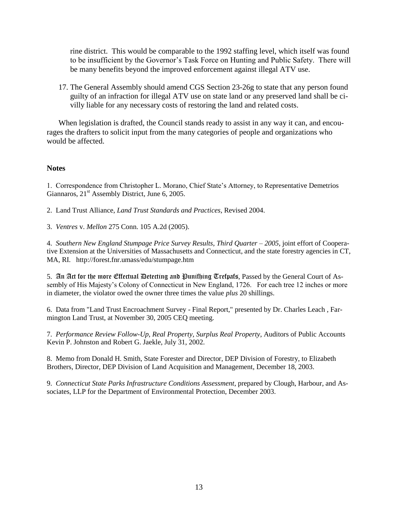rine district. This would be comparable to the 1992 staffing level, which itself was found to be insufficient by the Governor's Task Force on Hunting and Public Safety. There will be many benefits beyond the improved enforcement against illegal ATV use.

17. The General Assembly should amend CGS Section 23-26g to state that any person found guilty of an infraction for illegal ATV use on state land or any preserved land shall be civilly liable for any necessary costs of restoring the land and related costs.

When legislation is drafted, the Council stands ready to assist in any way it can, and encourages the drafters to solicit input from the many categories of people and organizations who would be affected.

# **Notes**

1. Correspondence from Christopher L. Morano, Chief State's Attorney, to Representative Demetrios Giannaros, 21<sup>st</sup> Assembly District, June 6, 2005.

2. Land Trust Alliance, *Land Trust Standards and Practices*, Revised 2004.

3. *Ventres* v. *Mellon* 275 Conn. 105 A.2d (2005).

4. *Southern New England Stumpage Price Survey Results, Third Quarter – 2005*, joint effort of Cooperative Extension at the Universities of Massachusetts and Connecticut, and the state forestry agencies in CT, MA, RI. http://forest.fnr.umass/edu/stumpage.htm

5. An Act for the more Effectual Detecting and Punifhing Trefpafs, Passed by the General Court of Assembly of His Majesty's Colony of Connecticut in New England, 1726. For each tree 12 inches or more in diameter, the violator owed the owner three times the value *plus* 20 shillings.

6. Data from "Land Trust Encroachment Survey - Final Report," presented by Dr. Charles Leach , Farmington Land Trust, at November 30, 2005 CEQ meeting.

7. *Performance Review Follow-Up, Real Property, Surplus Real Property*, Auditors of Public Accounts Kevin P. Johnston and Robert G. Jaekle, July 31, 2002.

8. Memo from Donald H. Smith, State Forester and Director, DEP Division of Forestry, to Elizabeth Brothers, Director, DEP Division of Land Acquisition and Management, December 18, 2003.

9. *Connecticut State Parks Infrastructure Conditions Assessment*, prepared by Clough, Harbour, and Associates, LLP for the Department of Environmental Protection, December 2003.